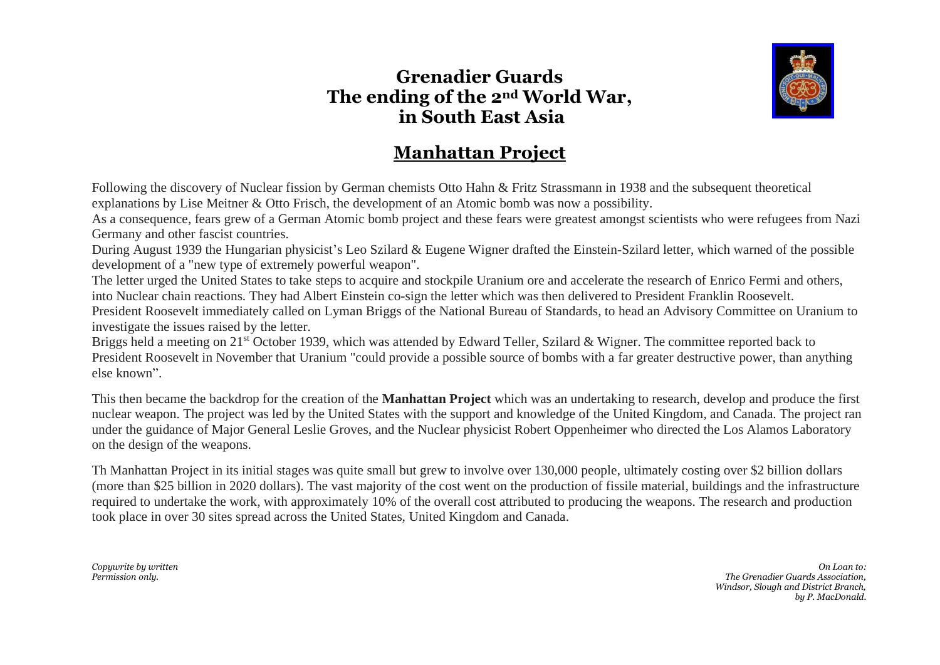## **Grenadier Guards The ending of the 2nd World War, in South East Asia**



## **Manhattan Project**

Following the discovery of Nuclear fission by German chemists Otto Hahn & Fritz Strassmann in 1938 and the subsequent theoretical explanations by Lise Meitner & Otto Frisch, the development of an Atomic bomb was now a possibility.

As a consequence, fears grew of a German Atomic bomb project and these fears were greatest amongst scientists who were refugees from Nazi Germany and other fascist countries.

During August 1939 the Hungarian physicist's Leo Szilard & Eugene Wigner drafted the Einstein-Szilard letter, which warned of the possible development of a "new type of extremely powerful weapon".

The letter urged the United States to take steps to acquire and stockpile Uranium ore and accelerate the research of Enrico Fermi and others, into Nuclear chain reactions. They had Albert Einstein co-sign the letter which was then delivered to President Franklin Roosevelt.

President Roosevelt immediately called on Lyman Briggs of the National Bureau of Standards, to head an Advisory Committee on Uranium to investigate the issues raised by the letter.

Briggs held a meeting on 21<sup>st</sup> October 1939, which was attended by Edward Teller, Szilard & Wigner. The committee reported back to President Roosevelt in November that Uranium "could provide a possible source of bombs with a far greater destructive power, than anything else known".

This then became the backdrop for the creation of the **Manhattan Project** which was an undertaking to research, develop and produce the first nuclear weapon. The project was led by the United States with the support and knowledge of the United Kingdom, and Canada. The project ran under the guidance of Major General Leslie Groves, and the Nuclear physicist Robert Oppenheimer who directed the Los Alamos Laboratory on the design of the weapons.

Th Manhattan Project in its initial stages was quite small but grew to involve over 130,000 people, ultimately costing over \$2 billion dollars (more than \$25 billion in 2020 dollars). The vast majority of the cost went on the production of fissile material, buildings and the infrastructure required to undertake the work, with approximately 10% of the overall cost attributed to producing the weapons. The research and production took place in over 30 sites spread across the United States, United Kingdom and Canada.

*Copywrite by written On Loan to: Permission only. The Grenadier Guards Association, Windsor, Slough and District Branch, by P. MacDonald.*